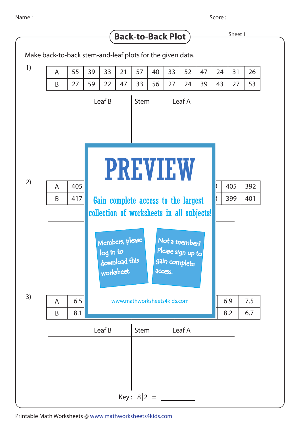Score :